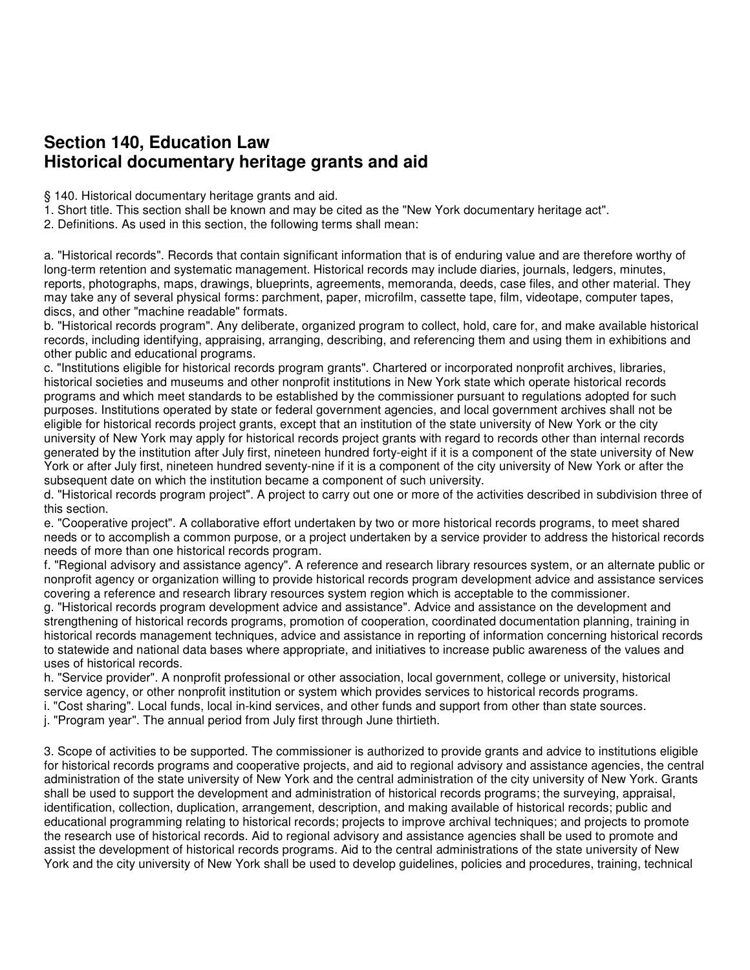## **Section 140, Education Law Historical documentary heritage grants and aid**

§ 140. Historical documentary heritage grants and aid.

1. Short title. This section shall be known and may be cited as the "New York documentary heritage act".

2. Definitions. As used in this section, the following terms shall mean:

a. "Historical records". Records that contain significant information that is of enduring value and are therefore worthy of long-term retention and systematic management. Historical records may include diaries, journals, ledgers, minutes, reports, photographs, maps, drawings, blueprints, agreements, memoranda, deeds, case files, and other material. They may take any of several physical forms: parchment, paper, microfilm, cassette tape, film, videotape, computer tapes, discs, and other "machine readable" formats.

b. "Historical records program". Any deliberate, organized program to collect, hold, care for, and make available historical records, including identifying, appraising, arranging, describing, and referencing them and using them in exhibitions and other public and educational programs.

c. "Institutions eligible for historical records program grants". Chartered or incorporated nonprofit archives, libraries, historical societies and museums and other nonprofit institutions in New York state which operate historical records programs and which meet standards to be established by the commissioner pursuant to regulations adopted for such purposes. Institutions operated by state or federal government agencies, and local government archives shall not be eligible for historical records project grants, except that an institution of the state university of New York or the city university of New York may apply for historical records project grants with regard to records other than internal records generated by the institution after July first, nineteen hundred forty-eight if it is a component of the state university of New York or after July first, nineteen hundred seventy-nine if it is a component of the city university of New York or after the subsequent date on which the institution became a component of such university.

d. "Historical records program project". A project to carry out one or more of the activities described in subdivision three of this section.

e. "Cooperative project". A collaborative effort undertaken by two or more historical records programs, to meet shared needs or to accomplish a common purpose, or a project undertaken by a service provider to address the historical records needs of more than one historical records program.

f. "Regional advisory and assistance agency". A reference and research library resources system, or an alternate public or nonprofit agency or organization willing to provide historical records program development advice and assistance services covering a reference and research library resources system region which is acceptable to the commissioner.

g. "Historical records program development advice and assistance". Advice and assistance on the development and strengthening of historical records programs, promotion of cooperation, coordinated documentation planning, training in historical records management techniques, advice and assistance in reporting of information concerning historical records to statewide and national data bases where appropriate, and initiatives to increase public awareness of the values and uses of historical records.

h. "Service provider". A nonprofit professional or other association, local government, college or university, historical service agency, or other nonprofit institution or system which provides services to historical records programs.

i. "Cost sharing". Local funds, local in-kind services, and other funds and support from other than state sources.

j. "Program year". The annual period from July first through June thirtieth.

3. Scope of activities to be supported. The commissioner is authorized to provide grants and advice to institutions eligible for historical records programs and cooperative projects, and aid to regional advisory and assistance agencies, the central administration of the state university of New York and the central administration of the city university of New York. Grants shall be used to support the development and administration of historical records programs; the surveying, appraisal, identification, collection, duplication, arrangement, description, and making available of historical records; public and educational programming relating to historical records; projects to improve archival techniques; and projects to promote the research use of historical records. Aid to regional advisory and assistance agencies shall be used to promote and assist the development of historical records programs. Aid to the central administrations of the state university of New York and the city university of New York shall be used to develop guidelines, policies and procedures, training, technical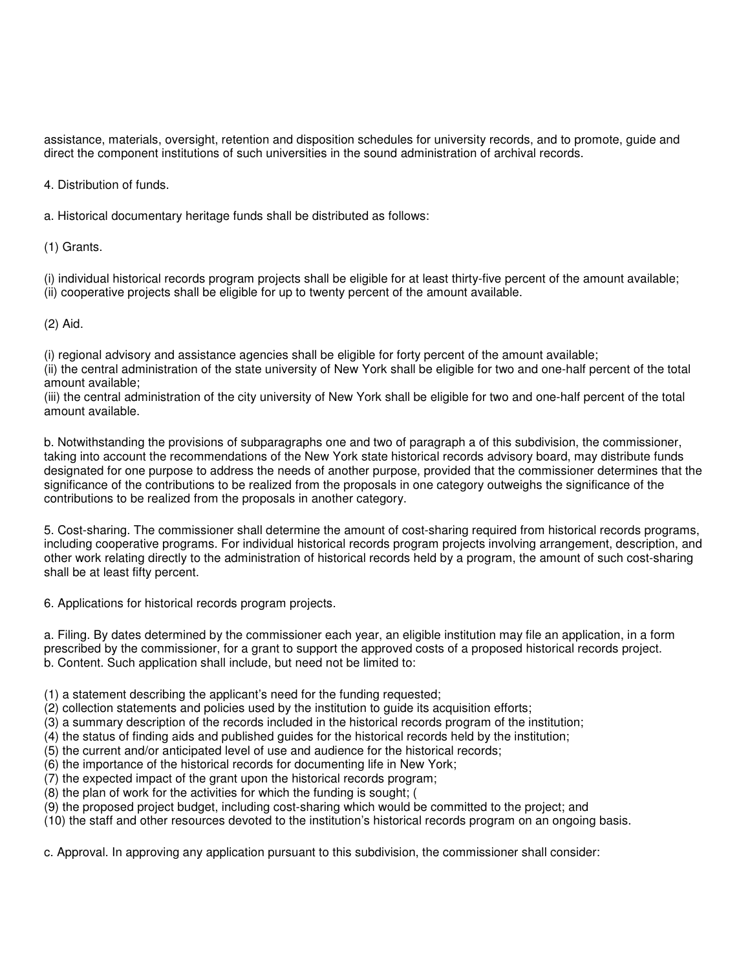assistance, materials, oversight, retention and disposition schedules for university records, and to promote, guide and direct the component institutions of such universities in the sound administration of archival records.

4. Distribution of funds.

a. Historical documentary heritage funds shall be distributed as follows:

(1) Grants.

(i) individual historical records program projects shall be eligible for at least thirty-five percent of the amount available; (ii) cooperative projects shall be eligible for up to twenty percent of the amount available.

(2) Aid.

(i) regional advisory and assistance agencies shall be eligible for forty percent of the amount available;

(ii) the central administration of the state university of New York shall be eligible for two and one-half percent of the total amount available;

(iii) the central administration of the city university of New York shall be eligible for two and one-half percent of the total amount available.

b. Notwithstanding the provisions of subparagraphs one and two of paragraph a of this subdivision, the commissioner, taking into account the recommendations of the New York state historical records advisory board, may distribute funds designated for one purpose to address the needs of another purpose, provided that the commissioner determines that the significance of the contributions to be realized from the proposals in one category outweighs the significance of the contributions to be realized from the proposals in another category.

5. Cost-sharing. The commissioner shall determine the amount of cost-sharing required from historical records programs, including cooperative programs. For individual historical records program projects involving arrangement, description, and other work relating directly to the administration of historical records held by a program, the amount of such cost-sharing shall be at least fifty percent.

6. Applications for historical records program projects.

a. Filing. By dates determined by the commissioner each year, an eligible institution may file an application, in a form prescribed by the commissioner, for a grant to support the approved costs of a proposed historical records project. b. Content. Such application shall include, but need not be limited to:

(1) a statement describing the applicant's need for the funding requested;

- (2) collection statements and policies used by the institution to guide its acquisition efforts;
- (3) a summary description of the records included in the historical records program of the institution;
- (4) the status of finding aids and published guides for the historical records held by the institution;
- (5) the current and/or anticipated level of use and audience for the historical records;
- (6) the importance of the historical records for documenting life in New York;
- (7) the expected impact of the grant upon the historical records program;
- (8) the plan of work for the activities for which the funding is sought; (
- (9) the proposed project budget, including cost-sharing which would be committed to the project; and
- (10) the staff and other resources devoted to the institution's historical records program on an ongoing basis.

c. Approval. In approving any application pursuant to this subdivision, the commissioner shall consider: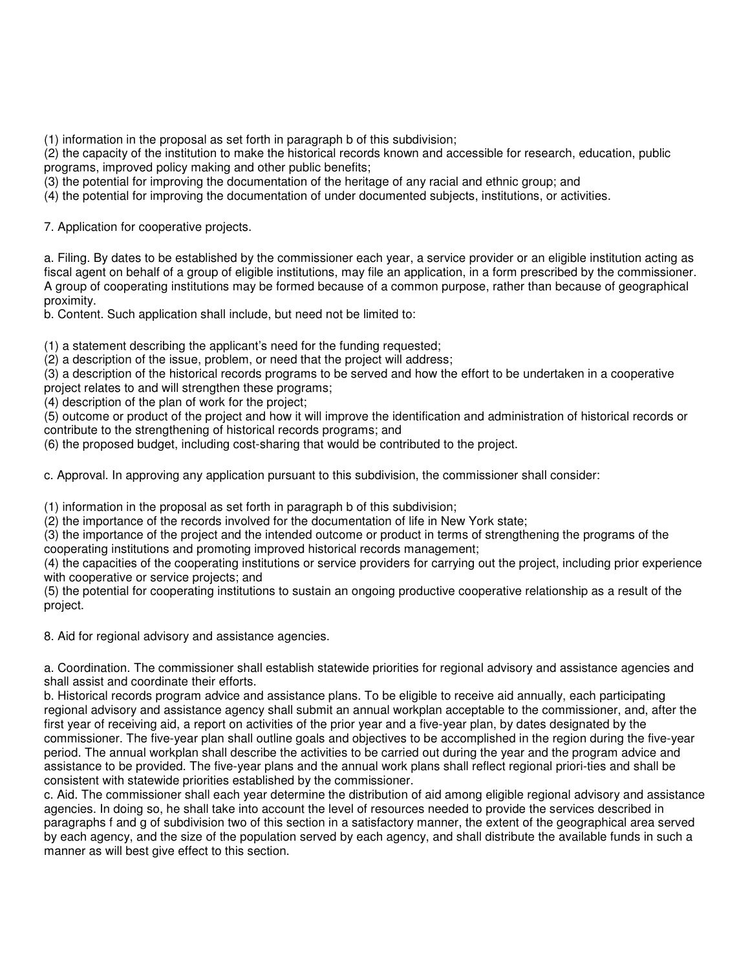(1) information in the proposal as set forth in paragraph b of this subdivision;

(2) the capacity of the institution to make the historical records known and accessible for research, education, public programs, improved policy making and other public benefits;

(3) the potential for improving the documentation of the heritage of any racial and ethnic group; and

(4) the potential for improving the documentation of under documented subjects, institutions, or activities.

7. Application for cooperative projects.

a. Filing. By dates to be established by the commissioner each year, a service provider or an eligible institution acting as fiscal agent on behalf of a group of eligible institutions, may file an application, in a form prescribed by the commissioner. A group of cooperating institutions may be formed because of a common purpose, rather than because of geographical proximity.

b. Content. Such application shall include, but need not be limited to:

(1) a statement describing the applicant's need for the funding requested;

(2) a description of the issue, problem, or need that the project will address;

(3) a description of the historical records programs to be served and how the effort to be undertaken in a cooperative project relates to and will strengthen these programs;

(4) description of the plan of work for the project;

(5) outcome or product of the project and how it will improve the identification and administration of historical records or contribute to the strengthening of historical records programs; and

(6) the proposed budget, including cost-sharing that would be contributed to the project.

c. Approval. In approving any application pursuant to this subdivision, the commissioner shall consider:

(1) information in the proposal as set forth in paragraph b of this subdivision;

(2) the importance of the records involved for the documentation of life in New York state;

(3) the importance of the project and the intended outcome or product in terms of strengthening the programs of the cooperating institutions and promoting improved historical records management;

(4) the capacities of the cooperating institutions or service providers for carrying out the project, including prior experience with cooperative or service projects; and

(5) the potential for cooperating institutions to sustain an ongoing productive cooperative relationship as a result of the project.

8. Aid for regional advisory and assistance agencies.

a. Coordination. The commissioner shall establish statewide priorities for regional advisory and assistance agencies and shall assist and coordinate their efforts.

b. Historical records program advice and assistance plans. To be eligible to receive aid annually, each participating regional advisory and assistance agency shall submit an annual workplan acceptable to the commissioner, and, after the first year of receiving aid, a report on activities of the prior year and a five-year plan, by dates designated by the commissioner. The five-year plan shall outline goals and objectives to be accomplished in the region during the five-year period. The annual workplan shall describe the activities to be carried out during the year and the program advice and assistance to be provided. The five-year plans and the annual work plans shall reflect regional priori-ties and shall be consistent with statewide priorities established by the commissioner.

c. Aid. The commissioner shall each year determine the distribution of aid among eligible regional advisory and assistance agencies. In doing so, he shall take into account the level of resources needed to provide the services described in paragraphs f and g of subdivision two of this section in a satisfactory manner, the extent of the geographical area served by each agency, and the size of the population served by each agency, and shall distribute the available funds in such a manner as will best give effect to this section.